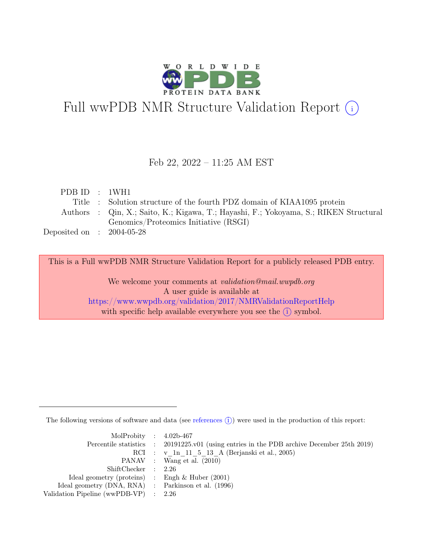

# Full wwPDB NMR Structure Validation Report (i)

### Feb 22, 2022 – 11:25 AM EST

| PDBID : 1WH1                |                                                                                       |
|-----------------------------|---------------------------------------------------------------------------------------|
|                             | Title : Solution structure of the fourth PDZ domain of KIAA1095 protein               |
|                             | Authors : Qin, X.; Saito, K.; Kigawa, T.; Hayashi, F.; Yokoyama, S.; RIKEN Structural |
|                             | Genomics/Proteomics Initiative (RSGI)                                                 |
| Deposited on : $2004-05-28$ |                                                                                       |

This is a Full wwPDB NMR Structure Validation Report for a publicly released PDB entry.

We welcome your comments at *validation@mail.wwpdb.org* A user guide is available at <https://www.wwpdb.org/validation/2017/NMRValidationReportHelp> with specific help available everywhere you see the  $(i)$  symbol.

The following versions of software and data (see [references](https://www.wwpdb.org/validation/2017/NMRValidationReportHelp#references)  $\hat{I}$ ) were used in the production of this report:

| MolProbity : $4.02b-467$                            |                                                                                            |
|-----------------------------------------------------|--------------------------------------------------------------------------------------------|
|                                                     | Percentile statistics : 20191225.v01 (using entries in the PDB archive December 25th 2019) |
|                                                     | RCI : v 1n 11 5 13 A (Berjanski et al., 2005)                                              |
|                                                     | PANAV : Wang et al. (2010)                                                                 |
| ShiftChecker : 2.26                                 |                                                                                            |
| Ideal geometry (proteins) : Engh $\&$ Huber (2001)  |                                                                                            |
| Ideal geometry (DNA, RNA) : Parkinson et al. (1996) |                                                                                            |
| Validation Pipeline (wwPDB-VP) $\therefore$ 2.26    |                                                                                            |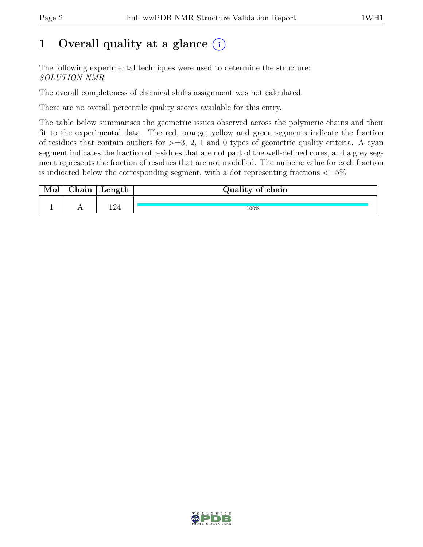## 1 Overall quality at a glance  $(i)$

The following experimental techniques were used to determine the structure: SOLUTION NMR

The overall completeness of chemical shifts assignment was not calculated.

There are no overall percentile quality scores available for this entry.

The table below summarises the geometric issues observed across the polymeric chains and their fit to the experimental data. The red, orange, yellow and green segments indicate the fraction of residues that contain outliers for  $\geq$ =3, 2, 1 and 0 types of geometric quality criteria. A cyan segment indicates the fraction of residues that are not part of the well-defined cores, and a grey segment represents the fraction of residues that are not modelled. The numeric value for each fraction is indicated below the corresponding segment, with a dot representing fractions  $\epsilon = 5\%$ 

| <b>TATOI</b> | $\sim$ $\sim$ $\sim$<br>'how | Length        | Quality of chain |
|--------------|------------------------------|---------------|------------------|
|              |                              |               |                  |
|              |                              | 1 O $\Lambda$ | 100%             |

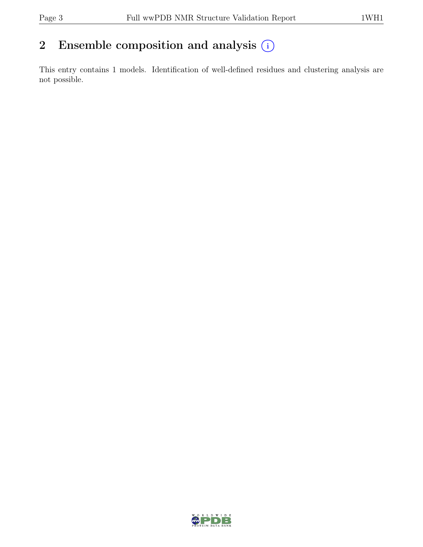## 2 Ensemble composition and analysis  $(i)$

This entry contains 1 models. Identification of well-defined residues and clustering analysis are not possible.

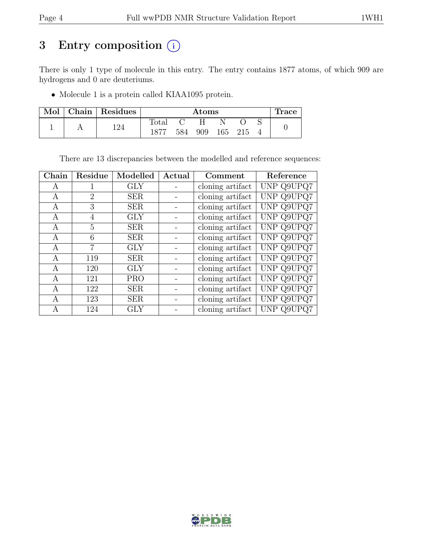## 3 Entry composition  $(i)$

There is only 1 type of molecule in this entry. The entry contains 1877 atoms, of which 909 are hydrogens and 0 are deuteriums.

• Molecule 1 is a protein called KIAA1095 protein.

| Mol | Chain   Residues | $\rm{Atoms}$   |     |     |     |       | <b>Trace</b> |  |
|-----|------------------|----------------|-----|-----|-----|-------|--------------|--|
|     | 194              | $_{\rm Total}$ |     |     |     |       |              |  |
|     |                  |                | 584 | 909 | 165 | - 215 |              |  |

There are 13 discrepancies between the modelled and reference sequences:

| Chain | Residue        | Modelled   | Actual | Comment          | Reference  |
|-------|----------------|------------|--------|------------------|------------|
| A     | 1              | <b>GLY</b> |        | cloning artifact | UNP Q9UPQ7 |
| А     | $\overline{2}$ | <b>SER</b> |        | cloning artifact | UNP Q9UPQ7 |
| А     | 3              | <b>SER</b> |        | cloning artifact | UNP Q9UPQ7 |
| A     | 4              | <b>GLY</b> |        | cloning artifact | UNP Q9UPQ7 |
| А     | 5              | <b>SER</b> |        | cloning artifact | UNP Q9UPQ7 |
| А     | 6              | <b>SER</b> |        | cloning artifact | UNP Q9UPQ7 |
| A     | $\overline{7}$ | <b>GLY</b> |        | cloning artifact | UNP Q9UPQ7 |
| A     | 119            | <b>SER</b> |        | cloning artifact | UNP Q9UPQ7 |
| A     | 120            | <b>GLY</b> |        | cloning artifact | UNP Q9UPQ7 |
| А     | 121            | <b>PRO</b> |        | cloning artifact | UNP Q9UPQ7 |
| А     | 122            | <b>SER</b> |        | cloning artifact | UNP Q9UPQ7 |
| A     | 123            | <b>SER</b> |        | cloning artifact | UNP Q9UPQ7 |
| А     | 124            | <b>GLY</b> |        | cloning artifact | UNP Q9UPQ7 |

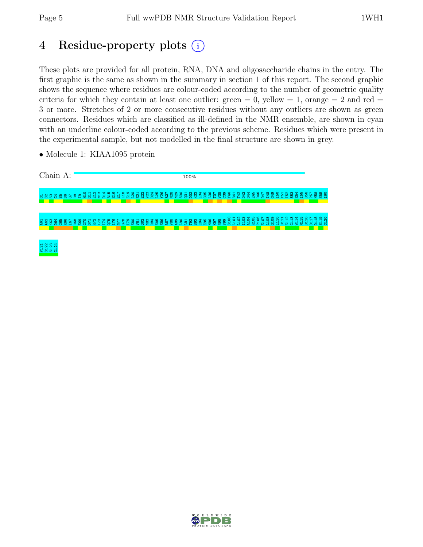## 4 Residue-property plots (i)

These plots are provided for all protein, RNA, DNA and oligosaccharide chains in the entry. The first graphic is the same as shown in the summary in section 1 of this report. The second graphic shows the sequence where residues are colour-coded according to the number of geometric quality criteria for which they contain at least one outlier: green  $= 0$ , yellow  $= 1$ , orange  $= 2$  and red  $=$ 3 or more. Stretches of 2 or more consecutive residues without any outliers are shown as green connectors. Residues which are classified as ill-defined in the NMR ensemble, are shown in cyan with an underline colour-coded according to the previous scheme. Residues which were present in the experimental sample, but not modelled in the final structure are shown in grey.



• Molecule 1: KIAA1095 protein

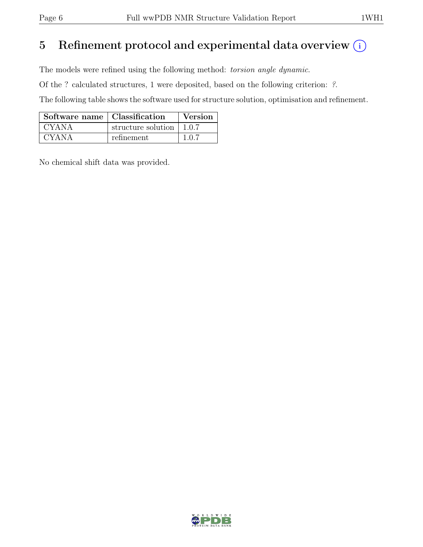## 5 Refinement protocol and experimental data overview  $(i)$

The models were refined using the following method: torsion angle dynamic.

Of the ? calculated structures, 1 were deposited, based on the following criterion: ?.

The following table shows the software used for structure solution, optimisation and refinement.

| Software name   Classification |                    | Version |
|--------------------------------|--------------------|---------|
| CYANA                          | structure solution | 1.0.7   |
| CYANA                          | refinement         | 1.0.7   |

No chemical shift data was provided.

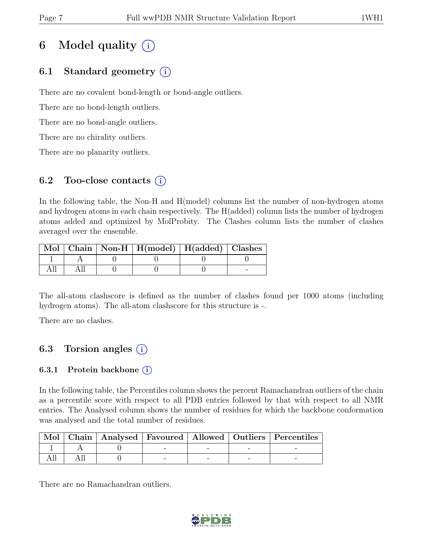## 6 Model quality  $(i)$

### 6.1 Standard geometry  $(i)$

There are no covalent bond-length or bond-angle outliers.

There are no bond-length outliers.

There are no bond-angle outliers.

There are no chirality outliers.

There are no planarity outliers.

### 6.2 Too-close contacts  $(i)$

In the following table, the Non-H and H(model) columns list the number of non-hydrogen atoms and hydrogen atoms in each chain respectively. The H(added) column lists the number of hydrogen atoms added and optimized by MolProbity. The Clashes column lists the number of clashes averaged over the ensemble.

|  | Mol   Chain   Non-H   H(model)   H(added)   Clashes |  |
|--|-----------------------------------------------------|--|
|  |                                                     |  |
|  |                                                     |  |

The all-atom clashscore is defined as the number of clashes found per 1000 atoms (including hydrogen atoms). The all-atom clashscore for this structure is -.

There are no clashes.

### 6.3 Torsion angles  $(i)$

### 6.3.1 Protein backbone  $(i)$

In the following table, the Percentiles column shows the percent Ramachandran outliers of the chain as a percentile score with respect to all PDB entries followed by that with respect to all NMR entries. The Analysed column shows the number of residues for which the backbone conformation was analysed and the total number of residues.

|  |  |  | Mol   Chain   Analysed   Favoured   Allowed   Outliers   Percentiles |
|--|--|--|----------------------------------------------------------------------|
|  |  |  |                                                                      |
|  |  |  |                                                                      |

There are no Ramachandran outliers.

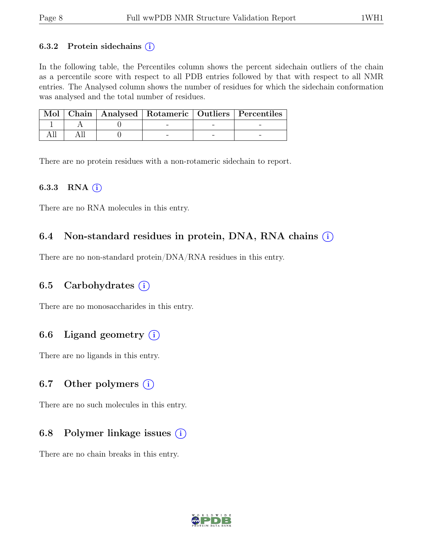#### 6.3.2 Protein sidechains  $(i)$

In the following table, the Percentiles column shows the percent sidechain outliers of the chain as a percentile score with respect to all PDB entries followed by that with respect to all NMR entries. The Analysed column shows the number of residues for which the sidechain conformation was analysed and the total number of residues.

|  |  | Mol   Chain   Analysed   Rotameric   Outliers   Percentiles |
|--|--|-------------------------------------------------------------|
|  |  |                                                             |
|  |  |                                                             |

There are no protein residues with a non-rotameric sidechain to report.

#### 6.3.3 RNA  $(i)$

There are no RNA molecules in this entry.

### 6.4 Non-standard residues in protein, DNA, RNA chains  $(i)$

There are no non-standard protein/DNA/RNA residues in this entry.

### 6.5 Carbohydrates  $(i)$

There are no monosaccharides in this entry.

### 6.6 Ligand geometry  $(i)$

There are no ligands in this entry.

#### 6.7 Other polymers  $(i)$

There are no such molecules in this entry.

### 6.8 Polymer linkage issues  $(i)$

There are no chain breaks in this entry.